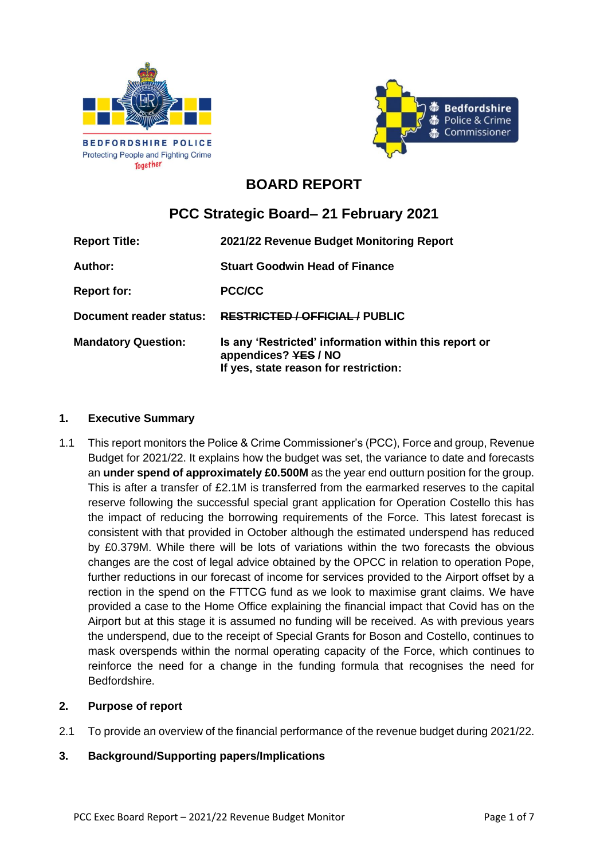



# **BOARD REPORT**

# **PCC Strategic Board– 21 February 2021**

| <b>Report Title:</b>       | 2021/22 Revenue Budget Monitoring Report                                                                               |  |
|----------------------------|------------------------------------------------------------------------------------------------------------------------|--|
| Author:                    | <b>Stuart Goodwin Head of Finance</b>                                                                                  |  |
| <b>Report for:</b>         | PCC/CC                                                                                                                 |  |
| Document reader status:    | <b>RESTRICTED / OFFICIAL/ PUBLIC</b>                                                                                   |  |
| <b>Mandatory Question:</b> | Is any 'Restricted' information within this report or<br>appendices? YES / NO<br>If yes, state reason for restriction: |  |

#### **1. Executive Summary**

1.1 This report monitors the Police & Crime Commissioner's (PCC), Force and group, Revenue Budget for 2021/22. It explains how the budget was set, the variance to date and forecasts an **under spend of approximately £0.500M** as the year end outturn position for the group. This is after a transfer of £2.1M is transferred from the earmarked reserves to the capital reserve following the successful special grant application for Operation Costello this has the impact of reducing the borrowing requirements of the Force. This latest forecast is consistent with that provided in October although the estimated underspend has reduced by £0.379M. While there will be lots of variations within the two forecasts the obvious changes are the cost of legal advice obtained by the OPCC in relation to operation Pope, further reductions in our forecast of income for services provided to the Airport offset by a rection in the spend on the FTTCG fund as we look to maximise grant claims. We have provided a case to the Home Office explaining the financial impact that Covid has on the Airport but at this stage it is assumed no funding will be received. As with previous years the underspend, due to the receipt of Special Grants for Boson and Costello, continues to mask overspends within the normal operating capacity of the Force, which continues to reinforce the need for a change in the funding formula that recognises the need for Bedfordshire.

#### **2. Purpose of report**

2.1 To provide an overview of the financial performance of the revenue budget during 2021/22.

#### **3. Background/Supporting papers/Implications**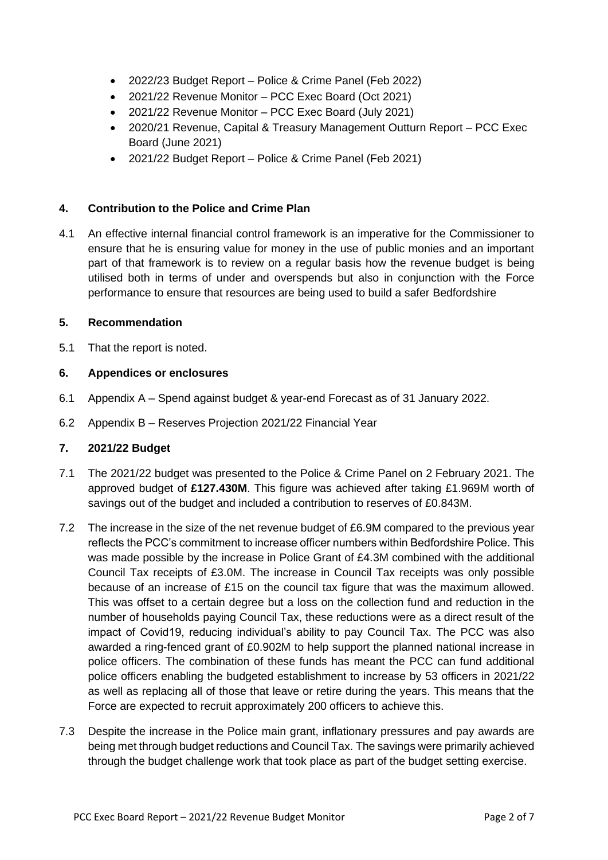- 2022/23 Budget Report Police & Crime Panel (Feb 2022)
- 2021/22 Revenue Monitor PCC Exec Board (Oct 2021)
- 2021/22 Revenue Monitor PCC Exec Board (July 2021)
- 2020/21 Revenue, Capital & Treasury Management Outturn Report PCC Exec Board (June 2021)
- 2021/22 Budget Report Police & Crime Panel (Feb 2021)

#### **4. Contribution to the Police and Crime Plan**

4.1 An effective internal financial control framework is an imperative for the Commissioner to ensure that he is ensuring value for money in the use of public monies and an important part of that framework is to review on a regular basis how the revenue budget is being utilised both in terms of under and overspends but also in conjunction with the Force performance to ensure that resources are being used to build a safer Bedfordshire

#### **5. Recommendation**

5.1 That the report is noted.

#### **6. Appendices or enclosures**

- 6.1 Appendix A Spend against budget & year-end Forecast as of 31 January 2022.
- 6.2 Appendix B Reserves Projection 2021/22 Financial Year

#### **7. 2021/22 Budget**

- 7.1 The 2021/22 budget was presented to the Police & Crime Panel on 2 February 2021. The approved budget of **£127.430M**. This figure was achieved after taking £1.969M worth of savings out of the budget and included a contribution to reserves of £0.843M.
- 7.2 The increase in the size of the net revenue budget of £6.9M compared to the previous year reflects the PCC's commitment to increase officer numbers within Bedfordshire Police. This was made possible by the increase in Police Grant of £4.3M combined with the additional Council Tax receipts of £3.0M. The increase in Council Tax receipts was only possible because of an increase of £15 on the council tax figure that was the maximum allowed. This was offset to a certain degree but a loss on the collection fund and reduction in the number of households paying Council Tax, these reductions were as a direct result of the impact of Covid19, reducing individual's ability to pay Council Tax. The PCC was also awarded a ring-fenced grant of £0.902M to help support the planned national increase in police officers. The combination of these funds has meant the PCC can fund additional police officers enabling the budgeted establishment to increase by 53 officers in 2021/22 as well as replacing all of those that leave or retire during the years. This means that the Force are expected to recruit approximately 200 officers to achieve this.
- 7.3 Despite the increase in the Police main grant, inflationary pressures and pay awards are being met through budget reductions and Council Tax. The savings were primarily achieved through the budget challenge work that took place as part of the budget setting exercise.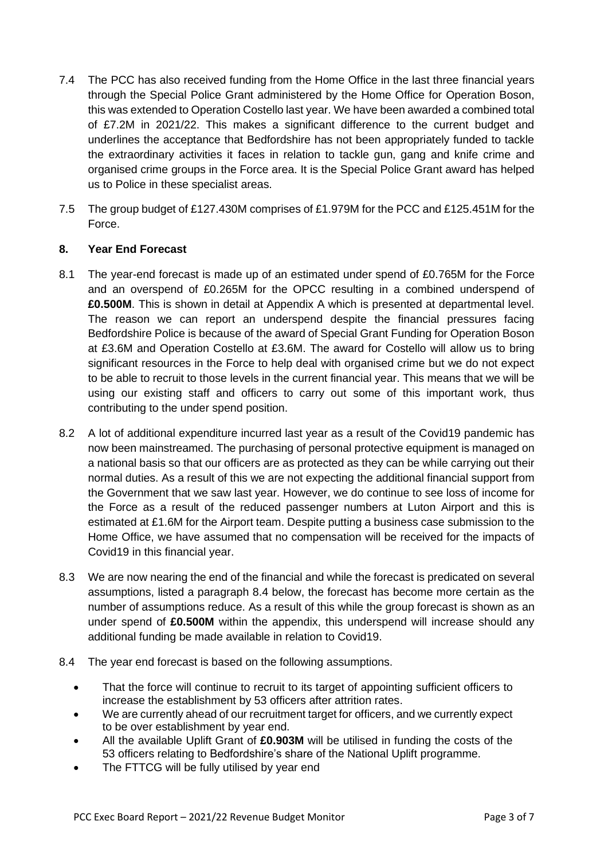- 7.4 The PCC has also received funding from the Home Office in the last three financial years through the Special Police Grant administered by the Home Office for Operation Boson, this was extended to Operation Costello last year. We have been awarded a combined total of £7.2M in 2021/22. This makes a significant difference to the current budget and underlines the acceptance that Bedfordshire has not been appropriately funded to tackle the extraordinary activities it faces in relation to tackle gun, gang and knife crime and organised crime groups in the Force area. It is the Special Police Grant award has helped us to Police in these specialist areas.
- 7.5 The group budget of £127.430M comprises of £1.979M for the PCC and £125.451M for the Force.

#### **8. Year End Forecast**

- 8.1 The year-end forecast is made up of an estimated under spend of £0.765M for the Force and an overspend of £0.265M for the OPCC resulting in a combined underspend of **£0.500M**. This is shown in detail at Appendix A which is presented at departmental level. The reason we can report an underspend despite the financial pressures facing Bedfordshire Police is because of the award of Special Grant Funding for Operation Boson at £3.6M and Operation Costello at £3.6M. The award for Costello will allow us to bring significant resources in the Force to help deal with organised crime but we do not expect to be able to recruit to those levels in the current financial year. This means that we will be using our existing staff and officers to carry out some of this important work, thus contributing to the under spend position.
- 8.2 A lot of additional expenditure incurred last year as a result of the Covid19 pandemic has now been mainstreamed. The purchasing of personal protective equipment is managed on a national basis so that our officers are as protected as they can be while carrying out their normal duties. As a result of this we are not expecting the additional financial support from the Government that we saw last year. However, we do continue to see loss of income for the Force as a result of the reduced passenger numbers at Luton Airport and this is estimated at £1.6M for the Airport team. Despite putting a business case submission to the Home Office, we have assumed that no compensation will be received for the impacts of Covid19 in this financial year.
- 8.3 We are now nearing the end of the financial and while the forecast is predicated on several assumptions, listed a paragraph 8.4 below, the forecast has become more certain as the number of assumptions reduce. As a result of this while the group forecast is shown as an under spend of **£0.500M** within the appendix, this underspend will increase should any additional funding be made available in relation to Covid19.
- 8.4 The year end forecast is based on the following assumptions.
	- That the force will continue to recruit to its target of appointing sufficient officers to increase the establishment by 53 officers after attrition rates.
	- We are currently ahead of our recruitment target for officers, and we currently expect to be over establishment by year end.
	- All the available Uplift Grant of **£0.903M** will be utilised in funding the costs of the 53 officers relating to Bedfordshire's share of the National Uplift programme.
	- The FTTCG will be fully utilised by year end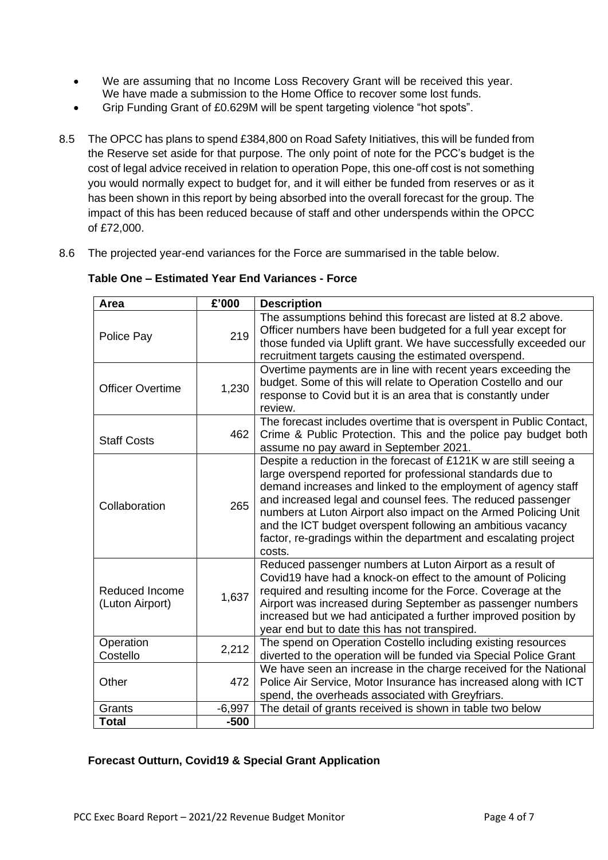- We are assuming that no Income Loss Recovery Grant will be received this year. We have made a submission to the Home Office to recover some lost funds.
- Grip Funding Grant of £0.629M will be spent targeting violence "hot spots".
- 8.5 The OPCC has plans to spend £384,800 on Road Safety Initiatives, this will be funded from the Reserve set aside for that purpose. The only point of note for the PCC's budget is the cost of legal advice received in relation to operation Pope, this one-off cost is not something you would normally expect to budget for, and it will either be funded from reserves or as it has been shown in this report by being absorbed into the overall forecast for the group. The impact of this has been reduced because of staff and other underspends within the OPCC of £72,000.
- 8.6 The projected year-end variances for the Force are summarised in the table below.

| Area                                     | £'000    | <b>Description</b>                                                                                                                                                                                                                                                                                                                                                                                                                                                              |  |  |
|------------------------------------------|----------|---------------------------------------------------------------------------------------------------------------------------------------------------------------------------------------------------------------------------------------------------------------------------------------------------------------------------------------------------------------------------------------------------------------------------------------------------------------------------------|--|--|
| Police Pay                               | 219      | The assumptions behind this forecast are listed at 8.2 above.<br>Officer numbers have been budgeted for a full year except for<br>those funded via Uplift grant. We have successfully exceeded our<br>recruitment targets causing the estimated overspend.                                                                                                                                                                                                                      |  |  |
| <b>Officer Overtime</b>                  | 1,230    | Overtime payments are in line with recent years exceeding the<br>budget. Some of this will relate to Operation Costello and our<br>response to Covid but it is an area that is constantly under<br>review.                                                                                                                                                                                                                                                                      |  |  |
| <b>Staff Costs</b>                       | 462      | The forecast includes overtime that is overspent in Public Contact,<br>Crime & Public Protection. This and the police pay budget both<br>assume no pay award in September 2021.                                                                                                                                                                                                                                                                                                 |  |  |
| Collaboration                            | 265      | Despite a reduction in the forecast of £121K w are still seeing a<br>large overspend reported for professional standards due to<br>demand increases and linked to the employment of agency staff<br>and increased legal and counsel fees. The reduced passenger<br>numbers at Luton Airport also impact on the Armed Policing Unit<br>and the ICT budget overspent following an ambitious vacancy<br>factor, re-gradings within the department and escalating project<br>costs. |  |  |
| <b>Reduced Income</b><br>(Luton Airport) | 1,637    | Reduced passenger numbers at Luton Airport as a result of<br>Covid19 have had a knock-on effect to the amount of Policing<br>required and resulting income for the Force. Coverage at the<br>Airport was increased during September as passenger numbers<br>increased but we had anticipated a further improved position by<br>year end but to date this has not transpired.                                                                                                    |  |  |
| Operation<br>Costello                    | 2,212    | The spend on Operation Costello including existing resources<br>diverted to the operation will be funded via Special Police Grant                                                                                                                                                                                                                                                                                                                                               |  |  |
| Other                                    | 472      | We have seen an increase in the charge received for the National<br>Police Air Service, Motor Insurance has increased along with ICT<br>spend, the overheads associated with Greyfriars.                                                                                                                                                                                                                                                                                        |  |  |
| Grants                                   | $-6,997$ | The detail of grants received is shown in table two below                                                                                                                                                                                                                                                                                                                                                                                                                       |  |  |
| <b>Total</b>                             | $-500$   |                                                                                                                                                                                                                                                                                                                                                                                                                                                                                 |  |  |

#### **Table One – Estimated Year End Variances - Force**

# **Forecast Outturn, Covid19 & Special Grant Application**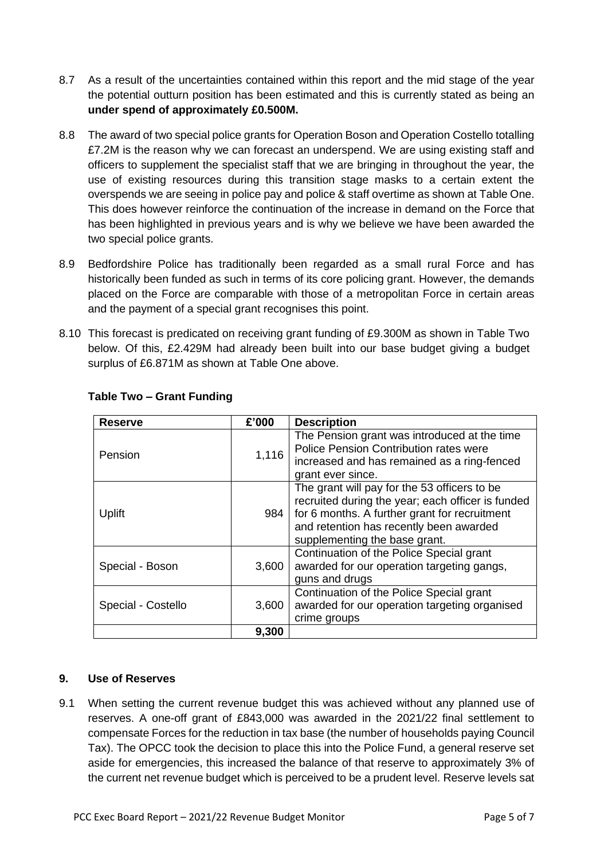- 8.7 As a result of the uncertainties contained within this report and the mid stage of the year the potential outturn position has been estimated and this is currently stated as being an **under spend of approximately £0.500M.**
- 8.8 The award of two special police grants for Operation Boson and Operation Costello totalling £7.2M is the reason why we can forecast an underspend. We are using existing staff and officers to supplement the specialist staff that we are bringing in throughout the year, the use of existing resources during this transition stage masks to a certain extent the overspends we are seeing in police pay and police & staff overtime as shown at Table One. This does however reinforce the continuation of the increase in demand on the Force that has been highlighted in previous years and is why we believe we have been awarded the two special police grants.
- 8.9 Bedfordshire Police has traditionally been regarded as a small rural Force and has historically been funded as such in terms of its core policing grant. However, the demands placed on the Force are comparable with those of a metropolitan Force in certain areas and the payment of a special grant recognises this point.
- 8.10 This forecast is predicated on receiving grant funding of £9.300M as shown in Table Two below. Of this, £2.429M had already been built into our base budget giving a budget surplus of £6.871M as shown at Table One above.

| <b>Reserve</b>     | £'000 | <b>Description</b>                                                                                                                                                                                                             |
|--------------------|-------|--------------------------------------------------------------------------------------------------------------------------------------------------------------------------------------------------------------------------------|
| Pension            | 1,116 | The Pension grant was introduced at the time<br>Police Pension Contribution rates were<br>increased and has remained as a ring-fenced<br>grant ever since.                                                                     |
| Uplift             | 984   | The grant will pay for the 53 officers to be<br>recruited during the year; each officer is funded<br>for 6 months. A further grant for recruitment<br>and retention has recently been awarded<br>supplementing the base grant. |
| Special - Boson    | 3,600 | Continuation of the Police Special grant<br>awarded for our operation targeting gangs,<br>guns and drugs                                                                                                                       |
| Special - Costello | 3,600 | Continuation of the Police Special grant<br>awarded for our operation targeting organised<br>crime groups                                                                                                                      |
|                    | 9,300 |                                                                                                                                                                                                                                |

# **Table Two – Grant Funding**

# **9. Use of Reserves**

9.1 When setting the current revenue budget this was achieved without any planned use of reserves. A one-off grant of £843,000 was awarded in the 2021/22 final settlement to compensate Forces for the reduction in tax base (the number of households paying Council Tax). The OPCC took the decision to place this into the Police Fund, a general reserve set aside for emergencies, this increased the balance of that reserve to approximately 3% of the current net revenue budget which is perceived to be a prudent level. Reserve levels sat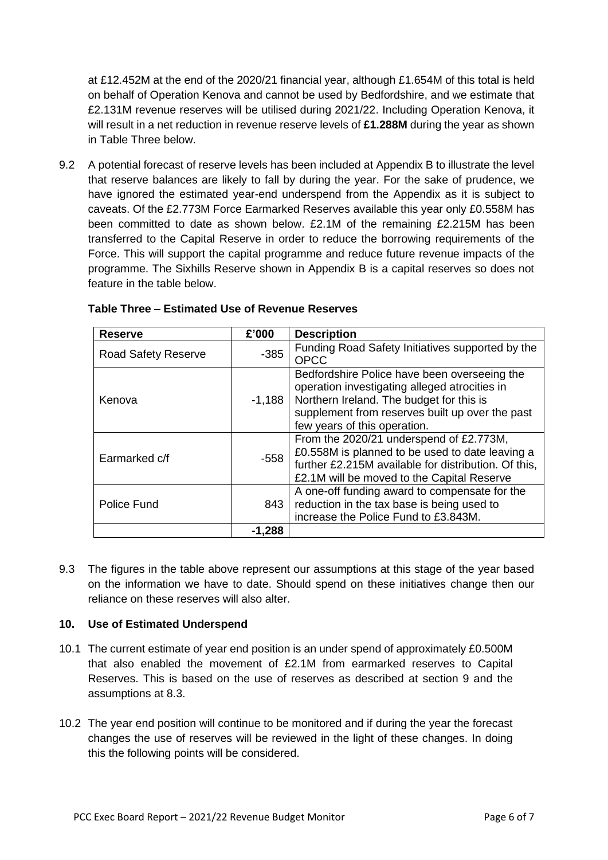at £12.452M at the end of the 2020/21 financial year, although £1.654M of this total is held on behalf of Operation Kenova and cannot be used by Bedfordshire, and we estimate that £2.131M revenue reserves will be utilised during 2021/22. Including Operation Kenova, it will result in a net reduction in revenue reserve levels of **£1.288M** during the year as shown in Table Three below.

9.2 A potential forecast of reserve levels has been included at Appendix B to illustrate the level that reserve balances are likely to fall by during the year. For the sake of prudence, we have ignored the estimated year-end underspend from the Appendix as it is subject to caveats. Of the £2.773M Force Earmarked Reserves available this year only £0.558M has been committed to date as shown below. £2.1M of the remaining £2.215M has been transferred to the Capital Reserve in order to reduce the borrowing requirements of the Force. This will support the capital programme and reduce future revenue impacts of the programme. The Sixhills Reserve shown in Appendix B is a capital reserves so does not feature in the table below.

| <b>Reserve</b>             | £'000    | <b>Description</b>                                                                                                                                                                                                           |
|----------------------------|----------|------------------------------------------------------------------------------------------------------------------------------------------------------------------------------------------------------------------------------|
| <b>Road Safety Reserve</b> | $-385$   | Funding Road Safety Initiatives supported by the<br><b>OPCC</b>                                                                                                                                                              |
| Kenova                     | $-1,188$ | Bedfordshire Police have been overseeing the<br>operation investigating alleged atrocities in<br>Northern Ireland. The budget for this is<br>supplement from reserves built up over the past<br>few years of this operation. |
| Earmarked c/f              | $-558$   | From the 2020/21 underspend of £2.773M,<br>£0.558M is planned to be used to date leaving a<br>further £2.215M available for distribution. Of this,<br>£2.1M will be moved to the Capital Reserve                             |
| Police Fund                | 843      | A one-off funding award to compensate for the<br>reduction in the tax base is being used to<br>increase the Police Fund to £3.843M.                                                                                          |
|                            | $-1,288$ |                                                                                                                                                                                                                              |

### **Table Three – Estimated Use of Revenue Reserves**

9.3 The figures in the table above represent our assumptions at this stage of the year based on the information we have to date. Should spend on these initiatives change then our reliance on these reserves will also alter.

# **10. Use of Estimated Underspend**

- 10.1 The current estimate of year end position is an under spend of approximately £0.500M that also enabled the movement of £2.1M from earmarked reserves to Capital Reserves. This is based on the use of reserves as described at section 9 and the assumptions at 8.3.
- 10.2 The year end position will continue to be monitored and if during the year the forecast changes the use of reserves will be reviewed in the light of these changes. In doing this the following points will be considered.